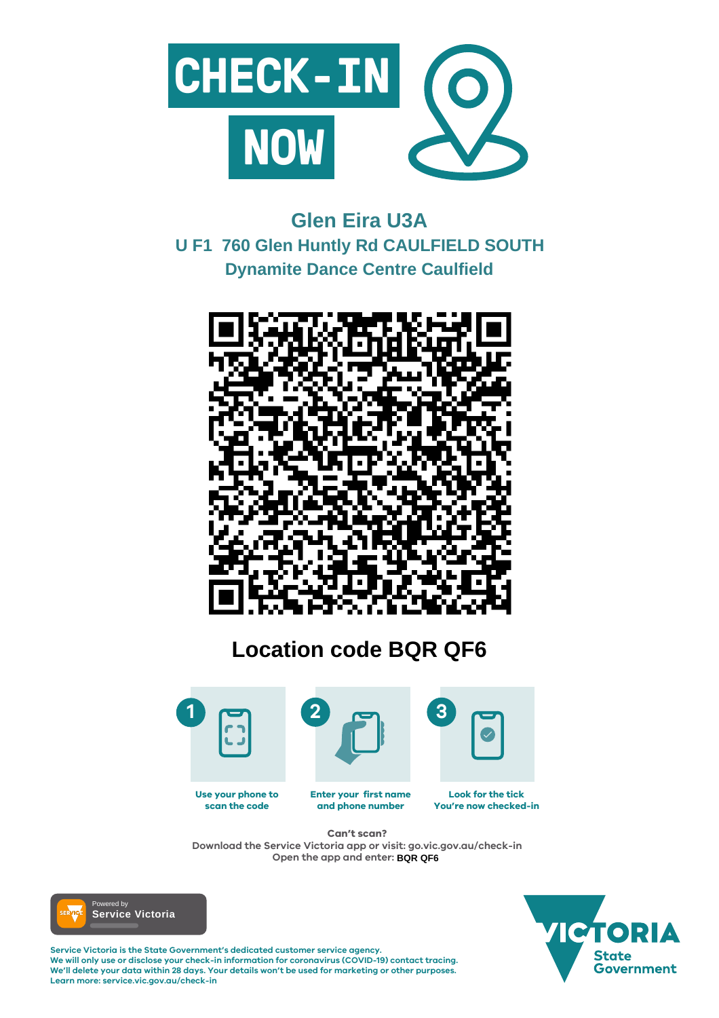

#### **Enter your first name and phone number Look for the tick You're now checked-in Use your phone to scan the code**

**Service Victoria is the State Government's dedicated customer service agency. We will only use or disclose your check-in information for coronavirus (COVID-19) contact tracing. We'll delete your data within 28 days. Your details won't be used for marketing or other purposes. Learn more: service.vic.gov.au/check-in**





# **Can't scan?**

**Download the Service Victoria app or visit: go.vic.gov.au/check-in Open the app and enter: BQR QF6**



# **Glen Eira U3A U F1 760 Glen Huntly Rd CAULFIELD SOUTH Dynamite Dance Centre Caulfield**



# **Location code BQR QF6**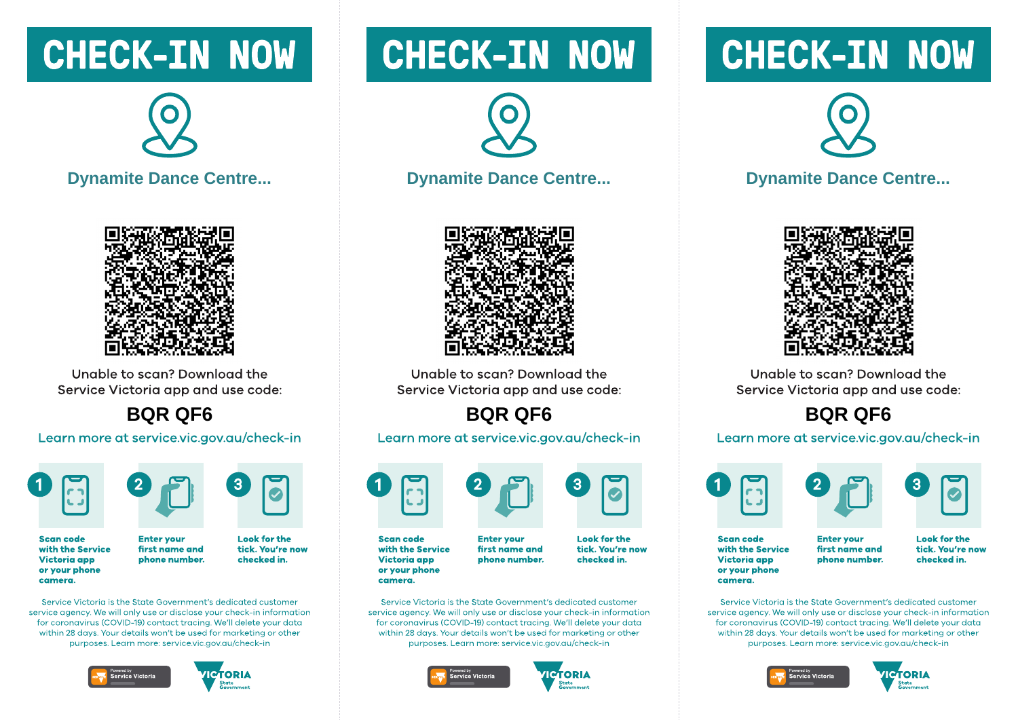# **CHECK-IN NOW**



### **Dynamite Dance Centre...**



Unable to scan? Download the Service Victoria app and use code:

## **BQR QF6**

### Learn more at service.vic.gov.au/check-in





**Enter vour** 

**Scan code** with the Service **Victoria** app or your phone camera.

**Look for the** first name and tick. You're now checked in. phone number.

Service Victoria is the State Government's dedicated customer service gaency. We will only use or disclose your check-in information for coronavirus (COVID-19) contact tracing. We'll delete your data within 28 days. Your details won't be used for marketing or other purposes. Learn more: service.vic.gov.gu/check-in





# **CHECK-IN NOW**



### **Dynamite Dance Centre...**



Unable to scan? Download the Service Victoria app and use code:

# **BQR QF6**

### Learn more at service.vic.gov.au/check-in



with the Service **Victoria app** or your phone camera.

Service Victoria is the State Government's dedicated customer service gaency. We will only use or disclose your check-in information for coronavirus (COVID-19) contact tracing. We'll delete your data within 28 days. Your details won't be used for marketing or other purposes. Learn more: service.vic.gov.gu/check-in





# **CHECK-IN NOW**



### **Dynamite Dance Centre...**



Unable to scan? Download the Service Victoria app and use code:

# **BQR QF6**

### Learn more at service.vic.gov.au/check-in





**Scan code** with the Service **Victoria app** or your phone camera.

**Enter vour** first name and phone number. **Look for the** tick. You're now checked in.

Service Victoria is the State Government's dedicated customer service gaency. We will only use or disclose your check-in information for coronavirus (COVID-19) contact tracing. We'll delete your data within 28 days. Your details won't be used for marketing or other purposes. Learn more: service.vic.gov.gu/check-in







**Enter vour** first name and phone number.

**Look for the** tick. You're now checked in.